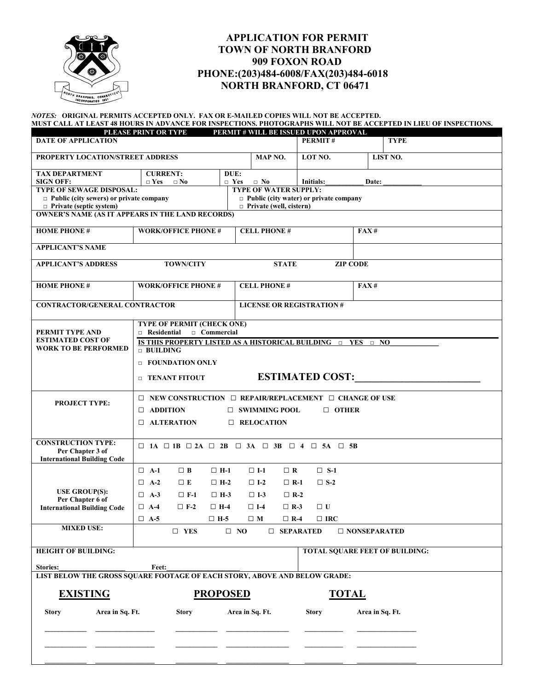

## **APPLICATION FOR PERMIT TOWN OF NORTH BRANFORD 909 FOXON ROAD PHONE:(203)484-6008/FAX(203)484-6018 NORTH BRANFORD, CT 06471**

## *NOTES:* **ORIGINAL PERMITS ACCEPTED ONLY. FAX OR E-MAILED COPIES WILL NOT BE ACCEPTED.**

|                       | MUST CALL AT LEAST 48 HOURS IN ADVANCE FOR INSPECTIONS. PHOTOGRAPHS WILL NOT BE ACCEPTED IN LIEU OF INSPECTIONS. |
|-----------------------|------------------------------------------------------------------------------------------------------------------|
| DI FASE DDINT OD TVDF | <b>DEDMIT # WILL BE ISSUED HDON ADDDOVAL</b>                                                                     |

| <b>DATE OF APPLICATION</b>                                                | PLEASE PRINT OR TYPE                                                                                   |                                                         | PERMIT # WILL BE ISSUED UPON APPROVAL<br>PERMIT# | <b>TYPE</b>                           |  |  |
|---------------------------------------------------------------------------|--------------------------------------------------------------------------------------------------------|---------------------------------------------------------|--------------------------------------------------|---------------------------------------|--|--|
| PROPERTY LOCATION/STREET ADDRESS                                          |                                                                                                        | MAP NO.                                                 | LOT NO.                                          | LIST NO.                              |  |  |
|                                                                           |                                                                                                        |                                                         |                                                  |                                       |  |  |
| <b>TAX DEPARTMENT</b>                                                     | <b>CURRENT:</b>                                                                                        | DUE:                                                    |                                                  |                                       |  |  |
| <b>SIGN OFF:</b><br><b>TYPE OF SEWAGE DISPOSAL:</b>                       | $\Box$ Yes<br>$\square$ No                                                                             | $\Box$ Yes<br>$\Box$ No<br><b>TYPE OF WATER SUPPLY:</b> | Initials:                                        | Date:                                 |  |  |
| $\Box$ Public (city sewers) or private company                            |                                                                                                        |                                                         | $\Box$ Public (city water) or private company    |                                       |  |  |
| $\Box$ Private (septic system)                                            |                                                                                                        | $\Box$ Private (well, cistern)                          |                                                  |                                       |  |  |
| <b>OWNER'S NAME (AS IT APPEARS IN THE LAND RECORDS)</b>                   |                                                                                                        |                                                         |                                                  |                                       |  |  |
| <b>HOME PHONE#</b>                                                        |                                                                                                        | <b>WORK/OFFICE PHONE #</b><br><b>CELL PHONE#</b>        |                                                  |                                       |  |  |
| <b>APPLICANT'S NAME</b>                                                   |                                                                                                        |                                                         |                                                  |                                       |  |  |
| <b>APPLICANT'S ADDRESS</b>                                                | <b>TOWN/CITY</b>                                                                                       |                                                         | <b>STATE</b>                                     | <b>ZIP CODE</b>                       |  |  |
| <b>HOME PHONE#</b>                                                        | <b>WORK/OFFICE PHONE #</b>                                                                             | <b>CELL PHONE#</b>                                      |                                                  | FAX#                                  |  |  |
| <b>CONTRACTOR/GENERAL CONTRACTOR</b>                                      |                                                                                                        |                                                         | <b>LICENSE OR REGISTRATION#</b>                  |                                       |  |  |
|                                                                           | TYPE OF PERMIT (CHECK ONE)                                                                             |                                                         |                                                  |                                       |  |  |
| PERMIT TYPE AND                                                           | □ Commercial<br><b>Residential</b>                                                                     |                                                         |                                                  |                                       |  |  |
| <b>ESTIMATED COST OF</b><br><b>WORK TO BE PERFORMED</b>                   | IS THIS PROPERTY LISTED AS A HISTORICAL BUILDING <b>DES DES DES DES</b><br>$\Box$ BUILDING             |                                                         |                                                  |                                       |  |  |
|                                                                           |                                                                                                        |                                                         |                                                  |                                       |  |  |
|                                                                           | <b>EXECUIVE ATTION ONLY</b>                                                                            |                                                         |                                                  |                                       |  |  |
|                                                                           | <b>EXAMPLE TENANT FITOUT</b>                                                                           |                                                         | <b>ESTIMATED COST:</b>                           |                                       |  |  |
|                                                                           | $\Box$ NEW CONSTRUCTION $\Box$ REPAIR/REPLACEMENT $\Box$ CHANGE OF USE                                 |                                                         |                                                  |                                       |  |  |
| <b>PROJECT TYPE:</b>                                                      | $\Box$ ADDITION<br>$\Box$ SWIMMING POOL<br>$\Box$ OTHER<br><b>ALTERATION</b><br>$\Box$ RELOCATION<br>□ |                                                         |                                                  |                                       |  |  |
|                                                                           |                                                                                                        |                                                         |                                                  |                                       |  |  |
|                                                                           |                                                                                                        |                                                         |                                                  |                                       |  |  |
| <b>CONSTRUCTION TYPE:</b>                                                 | $\Box$ 1A $\Box$ 1B $\Box$ 2A $\Box$ 2B $\Box$ 3A $\Box$ 3B $\Box$ 4 $\Box$ 5A $\Box$ 5B               |                                                         |                                                  |                                       |  |  |
| Per Chapter 3 of<br><b>International Building Code</b>                    |                                                                                                        |                                                         |                                                  |                                       |  |  |
|                                                                           | $\Box$ A-1<br>$\Box$ B                                                                                 | $\Box$ H-1<br>$\Box$ I-1                                | $\Box$ S-1<br>$\Box$ R                           |                                       |  |  |
|                                                                           | $\Box$ E<br>$\Box$ A-2                                                                                 | $\Box$ H-2<br>$\Box$ I-2                                | $\square$ S-2<br>$\Box$ R-1                      |                                       |  |  |
| <b>USE GROUP(S):</b>                                                      | $\Box$ A-3                                                                                             |                                                         |                                                  |                                       |  |  |
| Per Chapter 6 of                                                          | $\Box$ F-1                                                                                             | $\Box$ H-3<br>$\Box$ I-3                                | $\Box$ R-2                                       |                                       |  |  |
| <b>International Building Code</b>                                        | $\Box$ A-4<br>$\Box$ F-2                                                                               | $\Box$ H-4<br>$\Box$ I-4                                | $\Box$ U<br>$\Box$ R-3                           |                                       |  |  |
|                                                                           | $\Box$ A-5                                                                                             | $\Box$ H-5<br>$\Box$ M                                  | $\Box$ R-4<br>$\Box$ IRC                         |                                       |  |  |
| <b>MIXED USE:</b>                                                         | $\square$ YES                                                                                          | $\Box$ NO                                               | $\Box$ SEPARATED                                 | $\Box$ NONSEPARATED                   |  |  |
| <b>HEIGHT OF BUILDING:</b>                                                |                                                                                                        |                                                         |                                                  | <b>TOTAL SQUARE FEET OF BUILDING:</b> |  |  |
| <b>Stories:</b>                                                           | Feet:                                                                                                  |                                                         |                                                  |                                       |  |  |
| LIST BELOW THE GROSS SQUARE FOOTAGE OF EACH STORY, ABOVE AND BELOW GRADE: |                                                                                                        |                                                         |                                                  |                                       |  |  |
| <b>EXISTING</b>                                                           |                                                                                                        | <b>PROPOSED</b>                                         |                                                  | <b>TOTAL</b>                          |  |  |
| Area in Sq. Ft.<br><b>Story</b>                                           | <b>Story</b>                                                                                           | Area in Sq. Ft.                                         | <b>Story</b>                                     | Area in Sq. Ft.                       |  |  |
|                                                                           |                                                                                                        |                                                         |                                                  |                                       |  |  |
|                                                                           |                                                                                                        |                                                         |                                                  |                                       |  |  |
|                                                                           |                                                                                                        |                                                         |                                                  |                                       |  |  |

 **\_\_\_\_\_\_\_\_\_\_\_\_ \_\_\_\_\_\_\_\_\_\_\_\_\_\_\_\_\_ \_\_\_\_\_\_\_\_\_\_\_\_ \_\_\_\_\_\_\_\_\_\_\_\_\_\_\_\_\_\_ \_\_\_\_\_\_\_\_\_\_\_ \_\_\_\_\_\_\_\_\_\_\_\_\_\_\_\_\_**